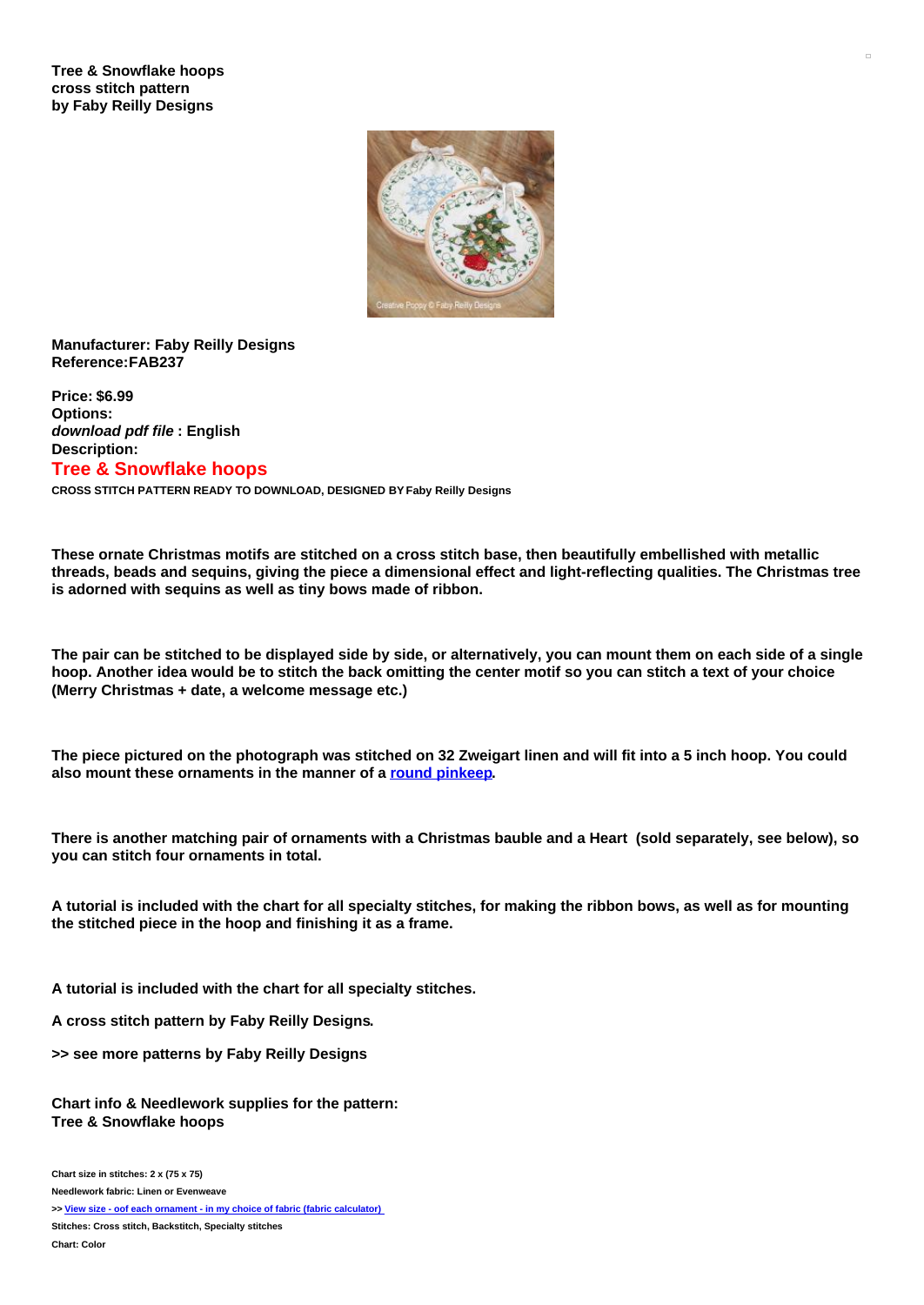## **Tree & Snowflake hoops cross stitch pattern by Faby Reilly Designs**



## **Manufacturer: Faby Reilly Designs Reference:FAB237**

**Price: \$6.99 Options:** *download pdf file* **: English Description: Tree & Snowflake hoops**

**CROSS STITCH PATTERN READY TO DOWNLOAD, DESIGNED BY Faby Reilly Designs**

**These ornate Christmas motifs are stitched on a cross stitch base, then beautifully embellished with metallic** threads, beads and sequins, giving the piece a dimensional effect and light-reflecting qualities. The Christmas tree **is adorned with sequins as well as tiny bows made of ribbon.**

The pair can be stitched to be displayed side by side, or alternatively, you can mount them on each side of a single hoop. Another idea would be to stitch the back omitting the center motif so you can stitch a text of your choice **(Merry Christmas + date, a welcome message etc.)**

The piece pictured on the photograph was stitched on 32 Zweigart linen and will fit into a 5 inch hoop. You could **also mount these ornaments in the manner of a round [pinkeep](https://www.creativepoppypatterns.com/images/Image/File/CREATIVE-POPPY_A-DELAGE-CALVET_Tutorial_Round-Pinkeep.pdf).**

There is another matching pair of ornaments with a Christmas bauble and a Heart (sold separately, see below), so **you can stitch four ornaments in total.**

A tutorial is included with the chart for all specialty stitches, for making the ribbon bows, as well as for mounting **the stitched piece in the hoop and finishing it as a frame.**

**A tutorial is included with the chart for all specialty stitches.**

**A cross stitch pattern by Faby Reilly Designs.**

**>> see more patterns by Faby Reilly Designs**

**Chart info & Needlework supplies for the pattern: Tree & Snowflake hoops**

**Chart size in stitches: 2 x (75 x 75) Needlework fabric: Linen or Evenweave >> View size - oof each ornament - in my choice of fabric (fabric [calculator\)](https://www.creativepoppypatterns.com/calculette-de-toile.php?products_id=2946&w=75&h=75) Stitches: Cross stitch, Backstitch, Specialty stitches**

**Chart: Color**